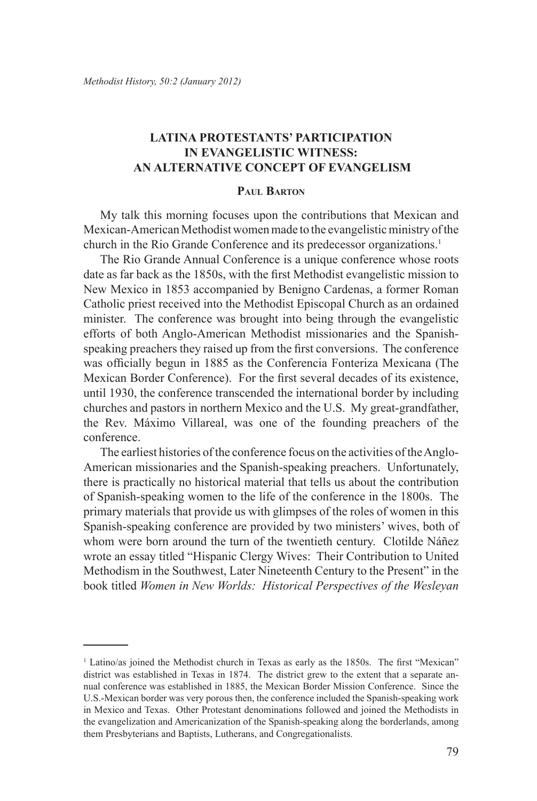# **Latina Protestants' Participation in Evangelistic Witness: An Alternative Concept of Evangelism**

## **Paul Barton**

My talk this morning focuses upon the contributions that Mexican and Mexican-American Methodist women made to the evangelistic ministry of the church in the Rio Grande Conference and its predecessor organizations.1

The Rio Grande Annual Conference is a unique conference whose roots date as far back as the 1850s, with the first Methodist evangelistic mission to New Mexico in 1853 accompanied by Benigno Cardenas, a former Roman Catholic priest received into the Methodist Episcopal Church as an ordained minister. The conference was brought into being through the evangelistic efforts of both Anglo-American Methodist missionaries and the Spanishspeaking preachers they raised up from the first conversions. The conference was officially begun in 1885 as the Conferencia Fonteriza Mexicana (The Mexican Border Conference). For the first several decades of its existence, until 1930, the conference transcended the international border by including churches and pastors in northern Mexico and the U.S. My great-grandfather, the Rev. Máximo Villareal, was one of the founding preachers of the conference.

The earliest histories of the conference focus on the activities of the Anglo-American missionaries and the Spanish-speaking preachers. Unfortunately, there is practically no historical material that tells us about the contribution of Spanish-speaking women to the life of the conference in the 1800s. The primary materials that provide us with glimpses of the roles of women in this Spanish-speaking conference are provided by two ministers' wives, both of whom were born around the turn of the twentieth century. Clotilde Náñez wrote an essay titled "Hispanic Clergy Wives: Their Contribution to United Methodism in the Southwest, Later Nineteenth Century to the Present" in the book titled *Women in New Worlds: Historical Perspectives of the Wesleyan* 

<sup>1</sup> Latino/as joined the Methodist church in Texas as early as the 1850s. The first "Mexican" district was established in Texas in 1874. The district grew to the extent that a separate annual conference was established in 1885, the Mexican Border Mission Conference. Since the U.S.-Mexican border was very porous then, the conference included the Spanish-speaking work in Mexico and Texas. Other Protestant denominations followed and joined the Methodists in the evangelization and Americanization of the Spanish-speaking along the borderlands, among them Presbyterians and Baptists, Lutherans, and Congregationalists.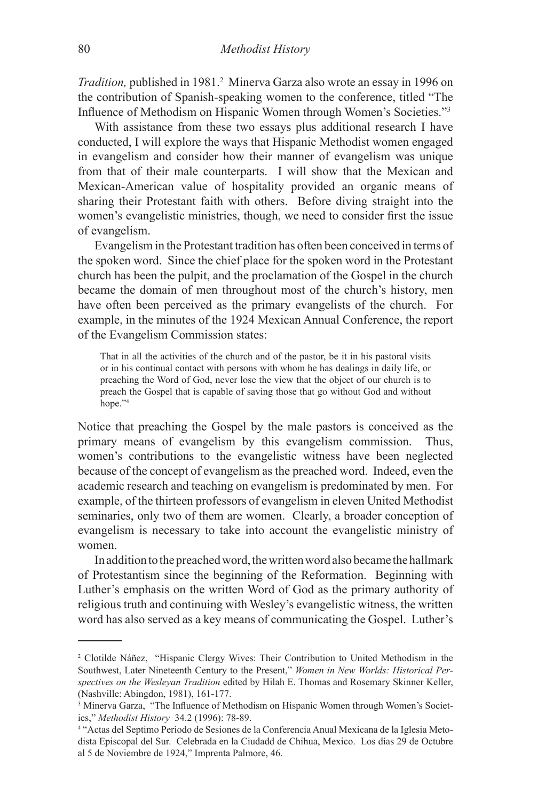Tradition, published in 1981.<sup>2</sup> Minerva Garza also wrote an essay in 1996 on the contribution of Spanish-speaking women to the conference, titled "The Influence of Methodism on Hispanic Women through Women's Societies."<sup>3</sup>

With assistance from these two essays plus additional research I have conducted, I will explore the ways that Hispanic Methodist women engaged in evangelism and consider how their manner of evangelism was unique from that of their male counterparts. I will show that the Mexican and Mexican-American value of hospitality provided an organic means of sharing their Protestant faith with others. Before diving straight into the women's evangelistic ministries, though, we need to consider first the issue of evangelism.

Evangelism in the Protestant tradition has often been conceived in terms of the spoken word. Since the chief place for the spoken word in the Protestant church has been the pulpit, and the proclamation of the Gospel in the church became the domain of men throughout most of the church's history, men have often been perceived as the primary evangelists of the church. For example, in the minutes of the 1924 Mexican Annual Conference, the report of the Evangelism Commission states:

That in all the activities of the church and of the pastor, be it in his pastoral visits or in his continual contact with persons with whom he has dealings in daily life, or preaching the Word of God, never lose the view that the object of our church is to preach the Gospel that is capable of saving those that go without God and without hope."<sup>4</sup>

Notice that preaching the Gospel by the male pastors is conceived as the primary means of evangelism by this evangelism commission. Thus, women's contributions to the evangelistic witness have been neglected because of the concept of evangelism as the preached word. Indeed, even the academic research and teaching on evangelism is predominated by men. For example, of the thirteen professors of evangelism in eleven United Methodist seminaries, only two of them are women. Clearly, a broader conception of evangelism is necessary to take into account the evangelistic ministry of women.

In addition to the preached word, the written word also became the hallmark of Protestantism since the beginning of the Reformation. Beginning with Luther's emphasis on the written Word of God as the primary authority of religious truth and continuing with Wesley's evangelistic witness, the written word has also served as a key means of communicating the Gospel. Luther's

<sup>2</sup> Clotilde Náñez, "Hispanic Clergy Wives: Their Contribution to United Methodism in the Southwest, Later Nineteenth Century to the Present," *Women in New Worlds: Historical Perspectives on the Wesleyan Tradition* edited by Hilah E. Thomas and Rosemary Skinner Keller, (Nashville: Abingdon, 1981), 161-177.

<sup>&</sup>lt;sup>3</sup> Minerva Garza, "The Influence of Methodism on Hispanic Women through Women's Societies," *Methodist History* 34.2 (1996): 78-89.

<sup>4</sup> "Actas del Septimo Periodo de Sesiones de la Conferencia Anual Mexicana de la Iglesia Metodista Episcopal del Sur. Celebrada en la Ciudadd de Chihua, Mexico. Los días 29 de Octubre al 5 de Noviembre de 1924," Imprenta Palmore, 46.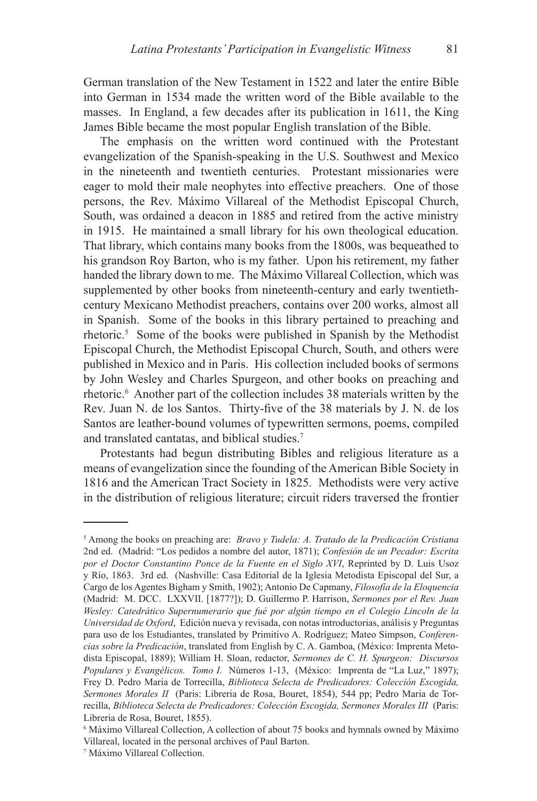German translation of the New Testament in 1522 and later the entire Bible into German in 1534 made the written word of the Bible available to the masses. In England, a few decades after its publication in 1611, the King James Bible became the most popular English translation of the Bible.

The emphasis on the written word continued with the Protestant evangelization of the Spanish-speaking in the U.S. Southwest and Mexico in the nineteenth and twentieth centuries. Protestant missionaries were eager to mold their male neophytes into effective preachers. One of those persons, the Rev. Máximo Villareal of the Methodist Episcopal Church, South, was ordained a deacon in 1885 and retired from the active ministry in 1915. He maintained a small library for his own theological education. That library, which contains many books from the 1800s, was bequeathed to his grandson Roy Barton, who is my father. Upon his retirement, my father handed the library down to me. The Máximo Villareal Collection, which was supplemented by other books from nineteenth-century and early twentiethcentury Mexicano Methodist preachers, contains over 200 works, almost all in Spanish. Some of the books in this library pertained to preaching and rhetoric.5 Some of the books were published in Spanish by the Methodist Episcopal Church, the Methodist Episcopal Church, South, and others were published in Mexico and in Paris. His collection included books of sermons by John Wesley and Charles Spurgeon, and other books on preaching and rhetoric.6 Another part of the collection includes 38 materials written by the Rev. Juan N. de los Santos. Thirty-five of the 38 materials by J. N. de los Santos are leather-bound volumes of typewritten sermons, poems, compiled and translated cantatas, and biblical studies.7

Protestants had begun distributing Bibles and religious literature as a means of evangelization since the founding of the American Bible Society in 1816 and the American Tract Society in 1825. Methodists were very active in the distribution of religious literature; circuit riders traversed the frontier

<sup>5</sup> Among the books on preaching are: *Bravo y Tudela: A. Tratado de la Predicación Cristiana*  2nd ed. (Madrid: "Los pedidos a nombre del autor, 1871); *Confesión de un Pecador: Escrita por el Doctor Constantino Ponce de la Fuente en el Siglo XVI*, Reprinted by D. Luis Usoz y Río, 1863. 3rd ed. (Nashville: Casa Editorial de la Iglesia Metodista Episcopal del Sur, a Cargo de los Agentes Bigham y Smith, 1902); Antonio De Capmany, *Filosofía de la Eloquencia* (Madrid: M. DCC. LXXVII. [1877?]); D. Guillermo P. Harrison, *Sermones por el Rev. Juan Wesley: Catedrático Supernumerario que fué por algún tiempo en el Colegio Lincoln de la Universidad de Oxford*, Edición nueva y revisada, con notas introductorias, análisis y Preguntas para uso de los Estudiantes, translated by Primitivo A. Rodríguez; Mateo Simpson, *Conferencias sobre la Predicación*, translated from English by C. A. Gamboa, (México: Imprenta Metodista Episcopal, 1889); William H. Sloan, redactor, *Sermones de C. H. Spurgeon: Discursos Populares y Evangélicos. Tomo I.* Números 1-13, (México: Imprenta de "La Luz," 1897); Frey D. Pedro Maria de Torrecilla, *Biblioteca Selecta de Predicadores: Colección Escogida, Sermones Morales II* (Paris: Libreria de Rosa, Bouret, 1854), 544 pp; Pedro Maria de Torrecilla, *Biblioteca Selecta de Predicadores: Colección Escogida, Sermones Morales III* (Paris: Libreria de Rosa, Bouret, 1855).

<sup>6</sup> Máximo Villareal Collection, A collection of about 75 books and hymnals owned by Máximo Villareal, located in the personal archives of Paul Barton.

<sup>7</sup> Máximo Villareal Collection.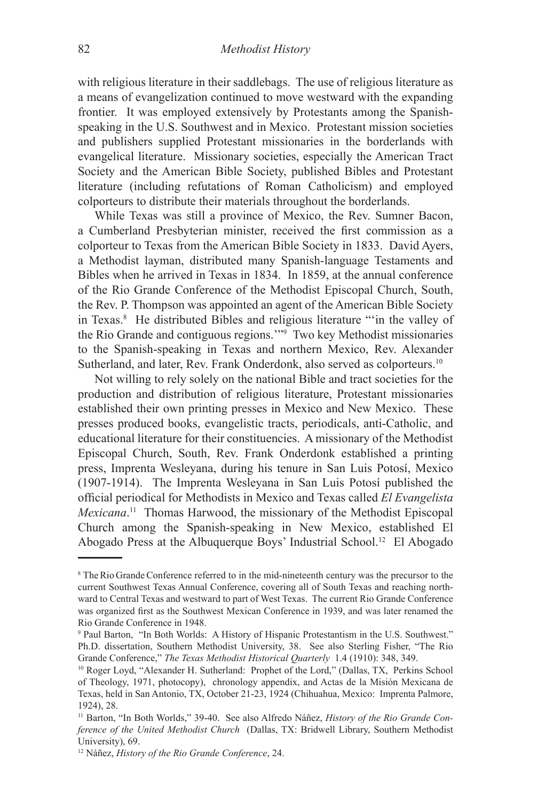with religious literature in their saddlebags. The use of religious literature as a means of evangelization continued to move westward with the expanding frontier. It was employed extensively by Protestants among the Spanishspeaking in the U.S. Southwest and in Mexico. Protestant mission societies and publishers supplied Protestant missionaries in the borderlands with evangelical literature. Missionary societies, especially the American Tract Society and the American Bible Society, published Bibles and Protestant literature (including refutations of Roman Catholicism) and employed colporteurs to distribute their materials throughout the borderlands.

While Texas was still a province of Mexico, the Rev. Sumner Bacon, a Cumberland Presbyterian minister, received the first commission as a colporteur to Texas from the American Bible Society in 1833. David Ayers, a Methodist layman, distributed many Spanish-language Testaments and Bibles when he arrived in Texas in 1834. In 1859, at the annual conference of the Rio Grande Conference of the Methodist Episcopal Church, South, the Rev. P. Thompson was appointed an agent of the American Bible Society in Texas.<sup>8</sup> He distributed Bibles and religious literature "in the valley of the Rio Grande and contiguous regions.'"9 Two key Methodist missionaries to the Spanish-speaking in Texas and northern Mexico, Rev. Alexander Sutherland, and later, Rev. Frank Onderdonk, also served as colporteurs.<sup>10</sup>

Not willing to rely solely on the national Bible and tract societies for the production and distribution of religious literature, Protestant missionaries established their own printing presses in Mexico and New Mexico. These presses produced books, evangelistic tracts, periodicals, anti-Catholic, and educational literature for their constituencies. A missionary of the Methodist Episcopal Church, South, Rev. Frank Onderdonk established a printing press, Imprenta Wesleyana, during his tenure in San Luis Potosí, Mexico (1907-1914). The Imprenta Wesleyana in San Luis Potosí published the official periodical for Methodists in Mexico and Texas called *El Evangelista Mexicana*. 11 Thomas Harwood, the missionary of the Methodist Episcopal Church among the Spanish-speaking in New Mexico, established El Abogado Press at the Albuquerque Boys' Industrial School.12 El Abogado

<sup>&</sup>lt;sup>8</sup> The Rio Grande Conference referred to in the mid-nineteenth century was the precursor to the current Southwest Texas Annual Conference, covering all of South Texas and reaching northward to Central Texas and westward to part of West Texas. The current Rio Grande Conference was organized first as the Southwest Mexican Conference in 1939, and was later renamed the Rio Grande Conference in 1948.

<sup>9</sup> Paul Barton, "In Both Worlds: A History of Hispanic Protestantism in the U.S. Southwest." Ph.D. dissertation, Southern Methodist University, 38. See also Sterling Fisher, "The Rio Grande Conference," *The Texas Methodist Historical Quarterly* 1.4 (1910): 348, 349.

<sup>10</sup> Roger Loyd, "Alexander H. Sutherland: Prophet of the Lord," (Dallas, TX, Perkins School of Theology, 1971, photocopy), chronology appendix, and Actas de la Misión Mexicana de Texas, held in San Antonio, TX, October 21-23, 1924 (Chihuahua, Mexico: Imprenta Palmore, 1924), 28.

<sup>11</sup> Barton, "In Both Worlds," 39-40. See also Alfredo Náñez, *History of the Rio Grande Conference of the United Methodist Church* (Dallas, TX: Bridwell Library, Southern Methodist University), 69.

<sup>12</sup> Náñez, *History of the Rio Grande Conference*, 24.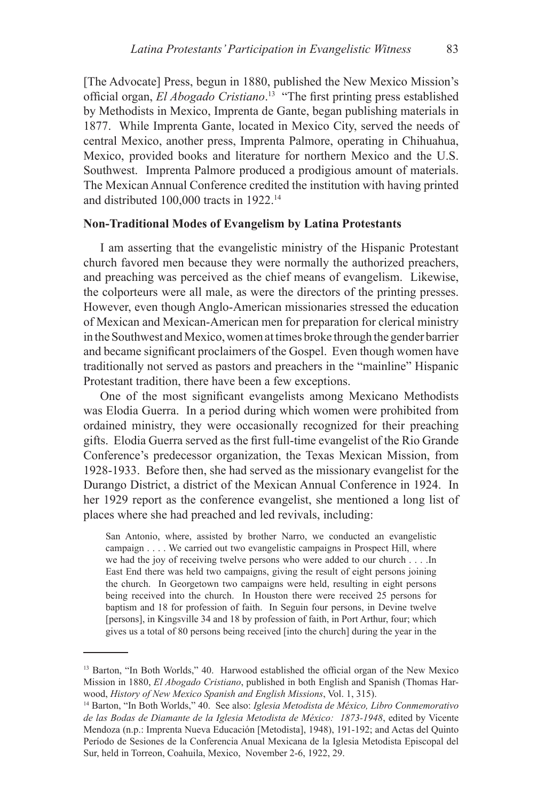[The Advocate] Press, begun in 1880, published the New Mexico Mission's official organ, *El Abogado Cristiano*. <sup>13</sup> "The first printing press established by Methodists in Mexico, Imprenta de Gante, began publishing materials in 1877. While Imprenta Gante, located in Mexico City, served the needs of central Mexico, another press, Imprenta Palmore, operating in Chihuahua, Mexico, provided books and literature for northern Mexico and the U.S. Southwest. Imprenta Palmore produced a prodigious amount of materials. The Mexican Annual Conference credited the institution with having printed and distributed 100,000 tracts in 1922.14

### **Non-Traditional Modes of Evangelism by Latina Protestants**

I am asserting that the evangelistic ministry of the Hispanic Protestant church favored men because they were normally the authorized preachers, and preaching was perceived as the chief means of evangelism. Likewise, the colporteurs were all male, as were the directors of the printing presses. However, even though Anglo-American missionaries stressed the education of Mexican and Mexican-American men for preparation for clerical ministry in the Southwest and Mexico, women at times broke through the gender barrier and became significant proclaimers of the Gospel. Even though women have traditionally not served as pastors and preachers in the "mainline" Hispanic Protestant tradition, there have been a few exceptions.

One of the most significant evangelists among Mexicano Methodists was Elodia Guerra. In a period during which women were prohibited from ordained ministry, they were occasionally recognized for their preaching gifts. Elodia Guerra served as the first full-time evangelist of the Rio Grande Conference's predecessor organization, the Texas Mexican Mission, from 1928-1933. Before then, she had served as the missionary evangelist for the Durango District, a district of the Mexican Annual Conference in 1924. In her 1929 report as the conference evangelist, she mentioned a long list of places where she had preached and led revivals, including:

San Antonio, where, assisted by brother Narro, we conducted an evangelistic campaign . . . . We carried out two evangelistic campaigns in Prospect Hill, where we had the joy of receiving twelve persons who were added to our church . . . .In East End there was held two campaigns, giving the result of eight persons joining the church. In Georgetown two campaigns were held, resulting in eight persons being received into the church. In Houston there were received 25 persons for baptism and 18 for profession of faith. In Seguin four persons, in Devine twelve [persons], in Kingsville 34 and 18 by profession of faith, in Port Arthur, four; which gives us a total of 80 persons being received [into the church] during the year in the

<sup>&</sup>lt;sup>13</sup> Barton, "In Both Worlds," 40. Harwood established the official organ of the New Mexico Mission in 1880, *El Abogado Cristiano*, published in both English and Spanish (Thomas Harwood, *History of New Mexico Spanish and English Missions*, Vol. 1, 315).

<sup>14</sup> Barton, "In Both Worlds," 40. See also: *Iglesia Metodista de México, Libro Conmemorativo de las Bodas de Diamante de la Iglesia Metodista de México: 1873-1948*, edited by Vicente Mendoza (n.p.: Imprenta Nueva Educación [Metodista], 1948), 191-192; and Actas del Quinto Período de Sesiones de la Conferencia Anual Mexicana de la Iglesia Metodista Episcopal del Sur, held in Torreon, Coahuila, Mexico, November 2-6, 1922, 29.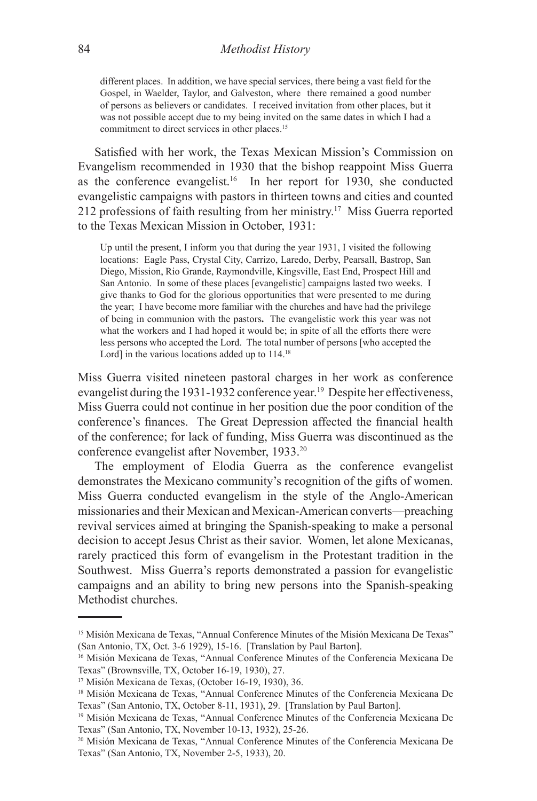different places. In addition, we have special services, there being a vast field for the Gospel, in Waelder, Taylor, and Galveston, where there remained a good number of persons as believers or candidates. I received invitation from other places, but it was not possible accept due to my being invited on the same dates in which I had a commitment to direct services in other places.<sup>15</sup>

Satisfied with her work, the Texas Mexican Mission's Commission on Evangelism recommended in 1930 that the bishop reappoint Miss Guerra as the conference evangelist.16 In her report for 1930, she conducted evangelistic campaigns with pastors in thirteen towns and cities and counted 212 professions of faith resulting from her ministry.17 Miss Guerra reported to the Texas Mexican Mission in October, 1931:

Up until the present, I inform you that during the year 1931, I visited the following locations: Eagle Pass, Crystal City, Carrizo, Laredo, Derby, Pearsall, Bastrop, San Diego, Mission, Rio Grande, Raymondville, Kingsville, East End, Prospect Hill and San Antonio. In some of these places [evangelistic] campaigns lasted two weeks. I give thanks to God for the glorious opportunities that were presented to me during the year; I have become more familiar with the churches and have had the privilege of being in communion with the pastors**.** The evangelistic work this year was not what the workers and I had hoped it would be; in spite of all the efforts there were less persons who accepted the Lord. The total number of persons [who accepted the Lord] in the various locations added up to 114.<sup>18</sup>

Miss Guerra visited nineteen pastoral charges in her work as conference evangelist during the 1931-1932 conference year.<sup>19</sup> Despite her effectiveness, Miss Guerra could not continue in her position due the poor condition of the conference's finances. The Great Depression affected the financial health of the conference; for lack of funding, Miss Guerra was discontinued as the conference evangelist after November, 1933.20

The employment of Elodia Guerra as the conference evangelist demonstrates the Mexicano community's recognition of the gifts of women. Miss Guerra conducted evangelism in the style of the Anglo-American missionaries and their Mexican and Mexican-American converts—preaching revival services aimed at bringing the Spanish-speaking to make a personal decision to accept Jesus Christ as their savior. Women, let alone Mexicanas, rarely practiced this form of evangelism in the Protestant tradition in the Southwest. Miss Guerra's reports demonstrated a passion for evangelistic campaigns and an ability to bring new persons into the Spanish-speaking Methodist churches.

<sup>&</sup>lt;sup>15</sup> Misión Mexicana de Texas, "Annual Conference Minutes of the Misión Mexicana De Texas" (San Antonio, TX, Oct. 3-6 1929), 15-16. [Translation by Paul Barton].

<sup>16</sup> Misión Mexicana de Texas, "Annual Conference Minutes of the Conferencia Mexicana De Texas" (Brownsville, TX, October 16-19, 1930), 27.

<sup>17</sup> Misión Mexicana de Texas, (October 16-19, 1930), 36.

<sup>18</sup> Misión Mexicana de Texas, "Annual Conference Minutes of the Conferencia Mexicana De Texas" (San Antonio, TX, October 8-11, 1931), 29. [Translation by Paul Barton].

<sup>19</sup> Misión Mexicana de Texas, "Annual Conference Minutes of the Conferencia Mexicana De Texas" (San Antonio, TX, November 10-13, 1932), 25-26.

<sup>20</sup> Misión Mexicana de Texas, "Annual Conference Minutes of the Conferencia Mexicana De Texas" (San Antonio, TX, November 2-5, 1933), 20.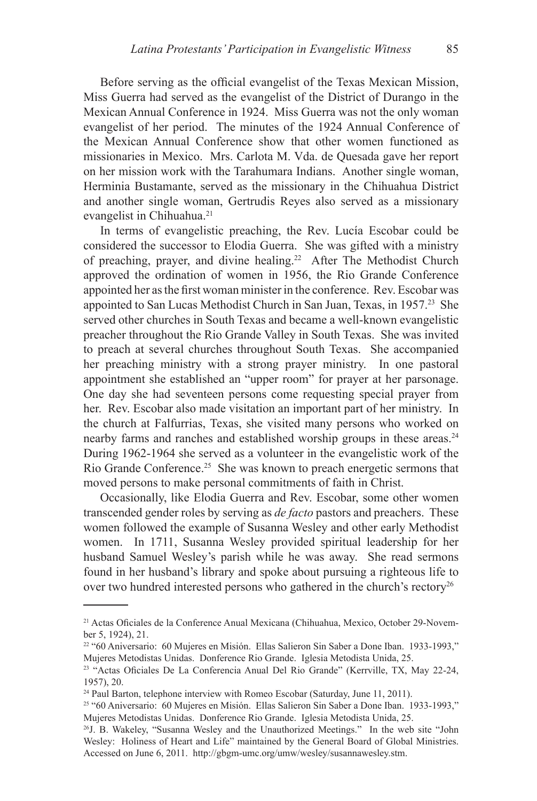Before serving as the official evangelist of the Texas Mexican Mission, Miss Guerra had served as the evangelist of the District of Durango in the Mexican Annual Conference in 1924. Miss Guerra was not the only woman evangelist of her period. The minutes of the 1924 Annual Conference of the Mexican Annual Conference show that other women functioned as missionaries in Mexico. Mrs. Carlota M. Vda. de Quesada gave her report on her mission work with the Tarahumara Indians. Another single woman, Herminia Bustamante, served as the missionary in the Chihuahua District and another single woman, Gertrudis Reyes also served as a missionary evangelist in Chihuahua.<sup>21</sup>

In terms of evangelistic preaching, the Rev. Lucía Escobar could be considered the successor to Elodia Guerra. She was gifted with a ministry of preaching, prayer, and divine healing.22 After The Methodist Church approved the ordination of women in 1956, the Rio Grande Conference appointed her as the first woman minister in the conference. Rev. Escobar was appointed to San Lucas Methodist Church in San Juan, Texas, in 1957.23 She served other churches in South Texas and became a well-known evangelistic preacher throughout the Rio Grande Valley in South Texas. She was invited to preach at several churches throughout South Texas. She accompanied her preaching ministry with a strong prayer ministry. In one pastoral appointment she established an "upper room" for prayer at her parsonage. One day she had seventeen persons come requesting special prayer from her. Rev. Escobar also made visitation an important part of her ministry. In the church at Falfurrias, Texas, she visited many persons who worked on nearby farms and ranches and established worship groups in these areas.<sup>24</sup> During 1962-1964 she served as a volunteer in the evangelistic work of the Rio Grande Conference.25 She was known to preach energetic sermons that moved persons to make personal commitments of faith in Christ.

Occasionally, like Elodia Guerra and Rev. Escobar, some other women transcended gender roles by serving as *de facto* pastors and preachers. These women followed the example of Susanna Wesley and other early Methodist women. In 1711, Susanna Wesley provided spiritual leadership for her husband Samuel Wesley's parish while he was away. She read sermons found in her husband's library and spoke about pursuing a righteous life to over two hundred interested persons who gathered in the church's rectory<sup>26</sup>

<sup>21</sup> Actas Oficiales de la Conference Anual Mexicana (Chihuahua, Mexico, October 29-November 5, 1924), 21.

<sup>22 &</sup>quot;60 Aniversario: 60 Mujeres en Misión. Ellas Salieron Sin Saber a Done Iban. 1933-1993," Mujeres Metodistas Unidas. Donference Rio Grande. Iglesia Metodista Unida, 25.

<sup>23</sup> "Actas Oficiales De La Conferencia Anual Del Rio Grande" (Kerrville, TX, May 22-24, 1957), 20.

<sup>&</sup>lt;sup>24</sup> Paul Barton, telephone interview with Romeo Escobar (Saturday, June 11, 2011).

<sup>25 &</sup>quot;60 Aniversario: 60 Mujeres en Misión. Ellas Salieron Sin Saber a Done Iban. 1933-1993," Mujeres Metodistas Unidas. Donference Rio Grande. Iglesia Metodista Unida, 25.

<sup>26</sup>J. B. Wakeley, "Susanna Wesley and the Unauthorized Meetings." In the web site "John Wesley: Holiness of Heart and Life" maintained by the General Board of Global Ministries. Accessed on June 6, 2011. http://gbgm-umc.org/umw/wesley/susannawesley.stm.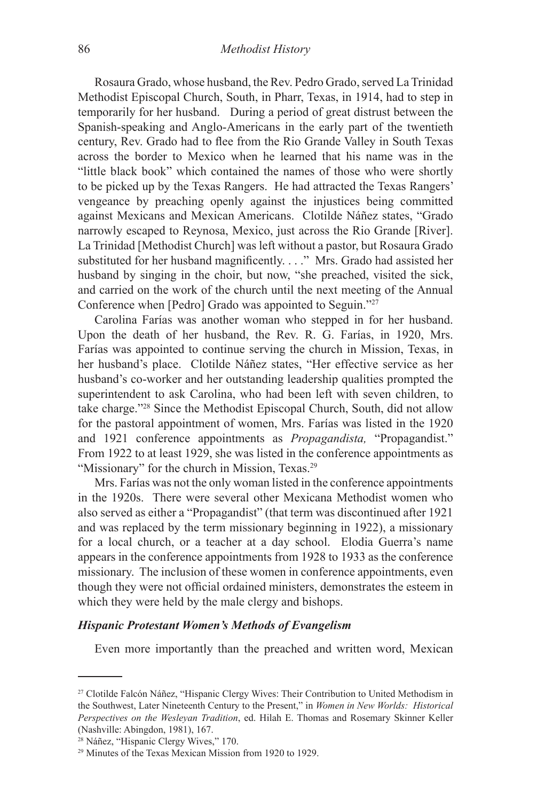Rosaura Grado, whose husband, the Rev. Pedro Grado, served La Trinidad Methodist Episcopal Church, South, in Pharr, Texas, in 1914, had to step in temporarily for her husband. During a period of great distrust between the Spanish-speaking and Anglo-Americans in the early part of the twentieth century, Rev. Grado had to flee from the Rio Grande Valley in South Texas across the border to Mexico when he learned that his name was in the "little black book" which contained the names of those who were shortly to be picked up by the Texas Rangers. He had attracted the Texas Rangers' vengeance by preaching openly against the injustices being committed against Mexicans and Mexican Americans. Clotilde Náñez states, "Grado narrowly escaped to Reynosa, Mexico, just across the Rio Grande [River]. La Trinidad [Methodist Church] was left without a pastor, but Rosaura Grado substituted for her husband magnificently. . . ." Mrs. Grado had assisted her husband by singing in the choir, but now, "she preached, visited the sick, and carried on the work of the church until the next meeting of the Annual Conference when [Pedro] Grado was appointed to Seguin."27

Carolina Farías was another woman who stepped in for her husband. Upon the death of her husband, the Rev. R. G. Farías, in 1920, Mrs. Farías was appointed to continue serving the church in Mission, Texas, in her husband's place. Clotilde Náñez states, "Her effective service as her husband's co-worker and her outstanding leadership qualities prompted the superintendent to ask Carolina, who had been left with seven children, to take charge."28 Since the Methodist Episcopal Church, South, did not allow for the pastoral appointment of women, Mrs. Farías was listed in the 1920 and 1921 conference appointments as *Propagandista,* "Propagandist." From 1922 to at least 1929, she was listed in the conference appointments as "Missionary" for the church in Mission, Texas.<sup>29</sup>

Mrs. Farías was not the only woman listed in the conference appointments in the 1920s. There were several other Mexicana Methodist women who also served as either a "Propagandist" (that term was discontinued after 1921 and was replaced by the term missionary beginning in 1922), a missionary for a local church, or a teacher at a day school. Elodia Guerra's name appears in the conference appointments from 1928 to 1933 as the conference missionary. The inclusion of these women in conference appointments, even though they were not official ordained ministers, demonstrates the esteem in which they were held by the male clergy and bishops.

#### *Hispanic Protestant Women's Methods of Evangelism*

Even more importantly than the preached and written word, Mexican

<sup>27</sup> Clotilde Falcón Náñez, "Hispanic Clergy Wives: Their Contribution to United Methodism in the Southwest, Later Nineteenth Century to the Present," in *Women in New Worlds: Historical Perspectives on the Wesleyan Tradition*, ed. Hilah E. Thomas and Rosemary Skinner Keller (Nashville: Abingdon, 1981), 167.

<sup>28</sup> Náñez, "Hispanic Clergy Wives," 170.

<sup>29</sup> Minutes of the Texas Mexican Mission from 1920 to 1929.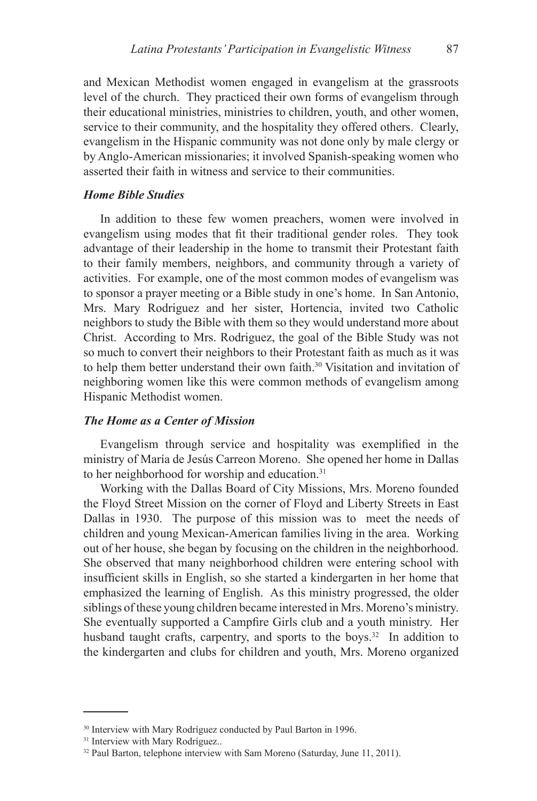and Mexican Methodist women engaged in evangelism at the grassroots level of the church. They practiced their own forms of evangelism through their educational ministries, ministries to children, youth, and other women, service to their community, and the hospitality they offered others. Clearly, evangelism in the Hispanic community was not done only by male clergy or by Anglo-American missionaries; it involved Spanish-speaking women who asserted their faith in witness and service to their communities.

### *Home Bible Studies*

In addition to these few women preachers, women were involved in evangelism using modes that fit their traditional gender roles. They took advantage of their leadership in the home to transmit their Protestant faith to their family members, neighbors, and community through a variety of activities. For example, one of the most common modes of evangelism was to sponsor a prayer meeting or a Bible study in one's home. In San Antonio, Mrs. Mary Rodriguez and her sister, Hortencia, invited two Catholic neighbors to study the Bible with them so they would understand more about Christ. According to Mrs. Rodriguez, the goal of the Bible Study was not so much to convert their neighbors to their Protestant faith as much as it was to help them better understand their own faith.<sup>30</sup> Visitation and invitation of neighboring women like this were common methods of evangelism among Hispanic Methodist women.

### *The Home as a Center of Mission*

Evangelism through service and hospitality was exemplified in the ministry of María de Jesús Carreon Moreno. She opened her home in Dallas to her neighborhood for worship and education.<sup>31</sup>

Working with the Dallas Board of City Missions, Mrs. Moreno founded the Floyd Street Mission on the corner of Floyd and Liberty Streets in East Dallas in 1930. The purpose of this mission was to meet the needs of children and young Mexican-American families living in the area. Working out of her house, she began by focusing on the children in the neighborhood. She observed that many neighborhood children were entering school with insufficient skills in English, so she started a kindergarten in her home that emphasized the learning of English. As this ministry progressed, the older siblings of these young children became interested in Mrs. Moreno's ministry. She eventually supported a Campfire Girls club and a youth ministry. Her husband taught crafts, carpentry, and sports to the boys.<sup>32</sup> In addition to the kindergarten and clubs for children and youth, Mrs. Moreno organized

<sup>30</sup> Interview with Mary Rodríguez conducted by Paul Barton in 1996.

<sup>&</sup>lt;sup>31</sup> Interview with Mary Rodríguez..

<sup>32</sup> Paul Barton, telephone interview with Sam Moreno (Saturday, June 11, 2011).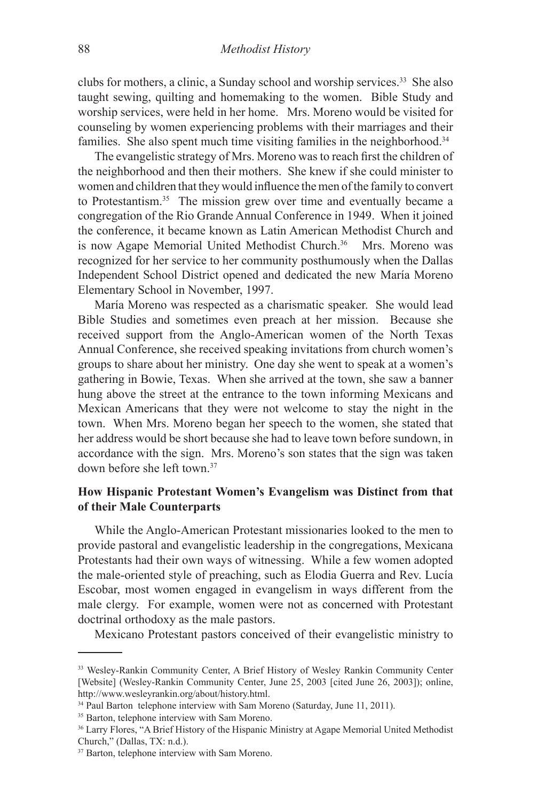clubs for mothers, a clinic, a Sunday school and worship services.<sup>33</sup> She also taught sewing, quilting and homemaking to the women. Bible Study and worship services, were held in her home. Mrs. Moreno would be visited for counseling by women experiencing problems with their marriages and their families. She also spent much time visiting families in the neighborhood.<sup>34</sup>

The evangelistic strategy of Mrs. Moreno was to reach first the children of the neighborhood and then their mothers. She knew if she could minister to women and children that they would influence the men of the family to convert to Protestantism.35 The mission grew over time and eventually became a congregation of the Rio Grande Annual Conference in 1949. When it joined the conference, it became known as Latin American Methodist Church and is now Agape Memorial United Methodist Church.<sup>36</sup> Mrs. Moreno was recognized for her service to her community posthumously when the Dallas Independent School District opened and dedicated the new María Moreno Elementary School in November, 1997.

María Moreno was respected as a charismatic speaker. She would lead Bible Studies and sometimes even preach at her mission. Because she received support from the Anglo-American women of the North Texas Annual Conference, she received speaking invitations from church women's groups to share about her ministry. One day she went to speak at a women's gathering in Bowie, Texas. When she arrived at the town, she saw a banner hung above the street at the entrance to the town informing Mexicans and Mexican Americans that they were not welcome to stay the night in the town. When Mrs. Moreno began her speech to the women, she stated that her address would be short because she had to leave town before sundown, in accordance with the sign. Mrs. Moreno's son states that the sign was taken down before she left town<sup>37</sup>

## **How Hispanic Protestant Women's Evangelism was Distinct from that of their Male Counterparts**

While the Anglo-American Protestant missionaries looked to the men to provide pastoral and evangelistic leadership in the congregations, Mexicana Protestants had their own ways of witnessing. While a few women adopted the male-oriented style of preaching, such as Elodia Guerra and Rev. Lucía Escobar, most women engaged in evangelism in ways different from the male clergy. For example, women were not as concerned with Protestant doctrinal orthodoxy as the male pastors.

Mexicano Protestant pastors conceived of their evangelistic ministry to

<sup>33</sup> Wesley-Rankin Community Center, A Brief History of Wesley Rankin Community Center [Website] (Wesley-Rankin Community Center, June 25, 2003 [cited June 26, 2003]); online, http://www.wesleyrankin.org/about/history.html.

<sup>&</sup>lt;sup>34</sup> Paul Barton telephone interview with Sam Moreno (Saturday, June 11, 2011).

<sup>&</sup>lt;sup>35</sup> Barton, telephone interview with Sam Moreno.

<sup>&</sup>lt;sup>36</sup> Larry Flores, "A Brief History of the Hispanic Ministry at Agape Memorial United Methodist Church," (Dallas, TX: n.d.).

<sup>37</sup> Barton, telephone interview with Sam Moreno.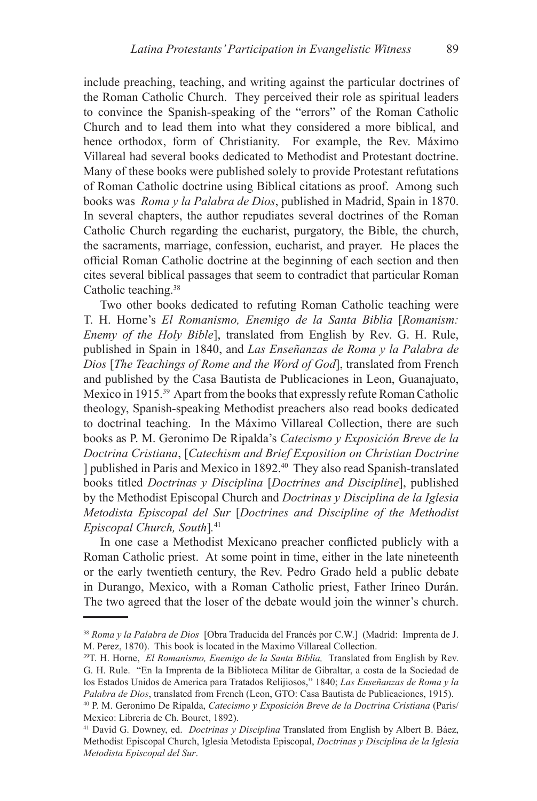include preaching, teaching, and writing against the particular doctrines of the Roman Catholic Church. They perceived their role as spiritual leaders to convince the Spanish-speaking of the "errors" of the Roman Catholic Church and to lead them into what they considered a more biblical, and hence orthodox, form of Christianity. For example, the Rev. Máximo Villareal had several books dedicated to Methodist and Protestant doctrine. Many of these books were published solely to provide Protestant refutations of Roman Catholic doctrine using Biblical citations as proof. Among such books was *Roma y la Palabra de Dios*, published in Madrid, Spain in 1870. In several chapters, the author repudiates several doctrines of the Roman Catholic Church regarding the eucharist, purgatory, the Bible, the church, the sacraments, marriage, confession, eucharist, and prayer. He places the official Roman Catholic doctrine at the beginning of each section and then cites several biblical passages that seem to contradict that particular Roman Catholic teaching.38

Two other books dedicated to refuting Roman Catholic teaching were T. H. Horne's *El Romanismo, Enemigo de la Santa Biblia* [*Romanism: Enemy of the Holy Bible*], translated from English by Rev. G. H. Rule, published in Spain in 1840, and *Las Enseñanzas de Roma y la Palabra de Dios* [*The Teachings of Rome and the Word of God*], translated from French and published by the Casa Bautista de Publicaciones in Leon, Guanajuato, Mexico in 1915.39 Apart from the books that expressly refute Roman Catholic theology, Spanish-speaking Methodist preachers also read books dedicated to doctrinal teaching. In the Máximo Villareal Collection, there are such books as P. M. Geronimo De Ripalda's *Catecismo y Exposición Breve de la Doctrina Cristiana*, [*Catechism and Brief Exposition on Christian Doctrine*  ] published in Paris and Mexico in 1892.40 They also read Spanish-translated books titled *Doctrinas y Disciplina* [*Doctrines and Discipline*], published by the Methodist Episcopal Church and *Doctrinas y Disciplina de la Iglesia Metodista Episcopal del Sur* [*Doctrines and Discipline of the Methodist Episcopal Church, South*]*.* 41

In one case a Methodist Mexicano preacher conflicted publicly with a Roman Catholic priest. At some point in time, either in the late nineteenth or the early twentieth century, the Rev. Pedro Grado held a public debate in Durango, Mexico, with a Roman Catholic priest, Father Irineo Durán. The two agreed that the loser of the debate would join the winner's church.

<sup>38</sup> *Roma y la Palabra de Dios* [Obra Traducida del Francés por C.W.] (Madrid: Imprenta de J. M. Perez, 1870). This book is located in the Maximo Villareal Collection.

<sup>39</sup>T. H. Horne, *El Romanismo, Enemigo de la Santa Biblia,* Translated from English by Rev. G. H. Rule. "En la Imprenta de la Biblioteca Militar de Gibraltar, a costa de la Sociedad de los Estados Unidos de America para Tratados Relijiosos," 1840; *Las Enseñanzas de Roma y la Palabra de Dios*, translated from French (Leon, GTO: Casa Bautista de Publicaciones, 1915).

<sup>40</sup> P. M. Geronimo De Ripalda, *Catecismo y Exposición Breve de la Doctrina Cristiana* (Paris/ Mexico: Libreria de Ch. Bouret, 1892).

<sup>41</sup> David G. Downey, ed. *Doctrinas y Disciplina* Translated from English by Albert B. Báez, Methodist Episcopal Church, Iglesia Metodista Episcopal, *Doctrinas y Disciplina de la Iglesia Metodista Episcopal del Sur*.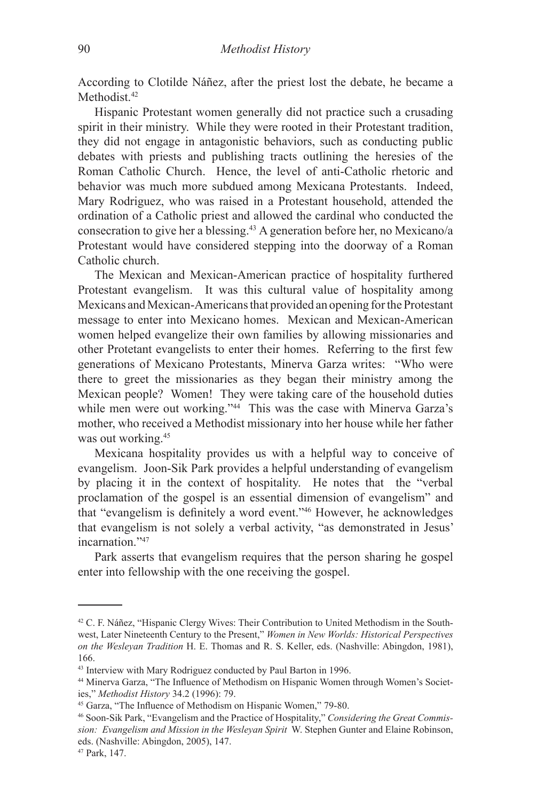According to Clotilde Náñez, after the priest lost the debate, he became a Methodist<sup>42</sup>

Hispanic Protestant women generally did not practice such a crusading spirit in their ministry. While they were rooted in their Protestant tradition, they did not engage in antagonistic behaviors, such as conducting public debates with priests and publishing tracts outlining the heresies of the Roman Catholic Church. Hence, the level of anti-Catholic rhetoric and behavior was much more subdued among Mexicana Protestants. Indeed, Mary Rodriguez, who was raised in a Protestant household, attended the ordination of a Catholic priest and allowed the cardinal who conducted the consecration to give her a blessing.43 A generation before her, no Mexicano/a Protestant would have considered stepping into the doorway of a Roman Catholic church.

The Mexican and Mexican-American practice of hospitality furthered Protestant evangelism. It was this cultural value of hospitality among Mexicans and Mexican-Americans that provided an opening for the Protestant message to enter into Mexicano homes. Mexican and Mexican-American women helped evangelize their own families by allowing missionaries and other Protetant evangelists to enter their homes. Referring to the first few generations of Mexicano Protestants, Minerva Garza writes: "Who were there to greet the missionaries as they began their ministry among the Mexican people? Women! They were taking care of the household duties while men were out working."<sup>44</sup> This was the case with Minerva Garza's mother, who received a Methodist missionary into her house while her father was out working.<sup>45</sup>

Mexicana hospitality provides us with a helpful way to conceive of evangelism. Joon-Sik Park provides a helpful understanding of evangelism by placing it in the context of hospitality. He notes that the "verbal proclamation of the gospel is an essential dimension of evangelism" and that "evangelism is definitely a word event."<sup>46</sup> However, he acknowledges that evangelism is not solely a verbal activity, "as demonstrated in Jesus' incarnation<sup>"47</sup>

Park asserts that evangelism requires that the person sharing he gospel enter into fellowship with the one receiving the gospel.

<sup>42</sup> C. F. Náñez, "Hispanic Clergy Wives: Their Contribution to United Methodism in the Southwest, Later Nineteenth Century to the Present," *Women in New Worlds: Historical Perspectives on the Wesleyan Tradition* H. E. Thomas and R. S. Keller, eds. (Nashville: Abingdon, 1981), 166.

<sup>43</sup> Interview with Mary Rodriguez conducted by Paul Barton in 1996.

<sup>44</sup> Minerva Garza, "The Influence of Methodism on Hispanic Women through Women's Societies," *Methodist History* 34.2 (1996): 79.

<sup>45</sup> Garza, "The Influence of Methodism on Hispanic Women," 79-80.

<sup>46</sup> Soon-Sik Park, "Evangelism and the Practice of Hospitality," *Considering the Great Commission: Evangelism and Mission in the Wesleyan Spirit* W. Stephen Gunter and Elaine Robinson, eds. (Nashville: Abingdon, 2005), 147.

<sup>47</sup> Park, 147.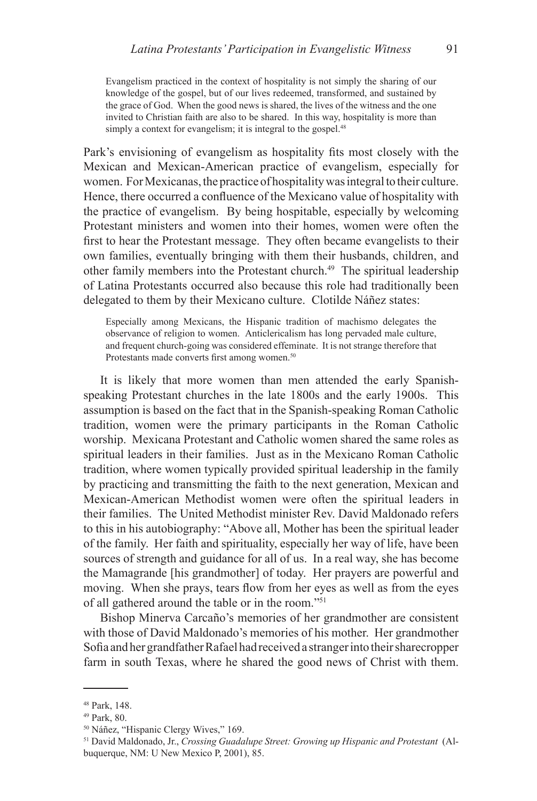Evangelism practiced in the context of hospitality is not simply the sharing of our knowledge of the gospel, but of our lives redeemed, transformed, and sustained by the grace of God. When the good news is shared, the lives of the witness and the one invited to Christian faith are also to be shared. In this way, hospitality is more than simply a context for evangelism; it is integral to the gospel.<sup>48</sup>

Park's envisioning of evangelism as hospitality fits most closely with the Mexican and Mexican-American practice of evangelism, especially for women. For Mexicanas, the practice of hospitality was integral to their culture. Hence, there occurred a confluence of the Mexicano value of hospitality with the practice of evangelism. By being hospitable, especially by welcoming Protestant ministers and women into their homes, women were often the first to hear the Protestant message. They often became evangelists to their own families, eventually bringing with them their husbands, children, and other family members into the Protestant church.49 The spiritual leadership of Latina Protestants occurred also because this role had traditionally been delegated to them by their Mexicano culture. Clotilde Náñez states:

Especially among Mexicans, the Hispanic tradition of machismo delegates the observance of religion to women. Anticlericalism has long pervaded male culture, and frequent church-going was considered effeminate. It is not strange therefore that Protestants made converts first among women.<sup>50</sup>

It is likely that more women than men attended the early Spanishspeaking Protestant churches in the late 1800s and the early 1900s. This assumption is based on the fact that in the Spanish-speaking Roman Catholic tradition, women were the primary participants in the Roman Catholic worship. Mexicana Protestant and Catholic women shared the same roles as spiritual leaders in their families. Just as in the Mexicano Roman Catholic tradition, where women typically provided spiritual leadership in the family by practicing and transmitting the faith to the next generation, Mexican and Mexican-American Methodist women were often the spiritual leaders in their families. The United Methodist minister Rev. David Maldonado refers to this in his autobiography: "Above all, Mother has been the spiritual leader of the family. Her faith and spirituality, especially her way of life, have been sources of strength and guidance for all of us. In a real way, she has become the Mamagrande [his grandmother] of today. Her prayers are powerful and moving. When she prays, tears flow from her eyes as well as from the eyes of all gathered around the table or in the room."51

Bishop Minerva Carcaño's memories of her grandmother are consistent with those of David Maldonado's memories of his mother. Her grandmother Sofia and her grandfather Rafael had received a stranger into their sharecropper farm in south Texas, where he shared the good news of Christ with them.

<sup>48</sup> Park, 148.

<sup>49</sup> Park, 80.

<sup>50</sup> Náñez, "Hispanic Clergy Wives," 169.

<sup>51</sup> David Maldonado, Jr., *Crossing Guadalupe Street: Growing up Hispanic and Protestant* (Albuquerque, NM: U New Mexico P, 2001), 85.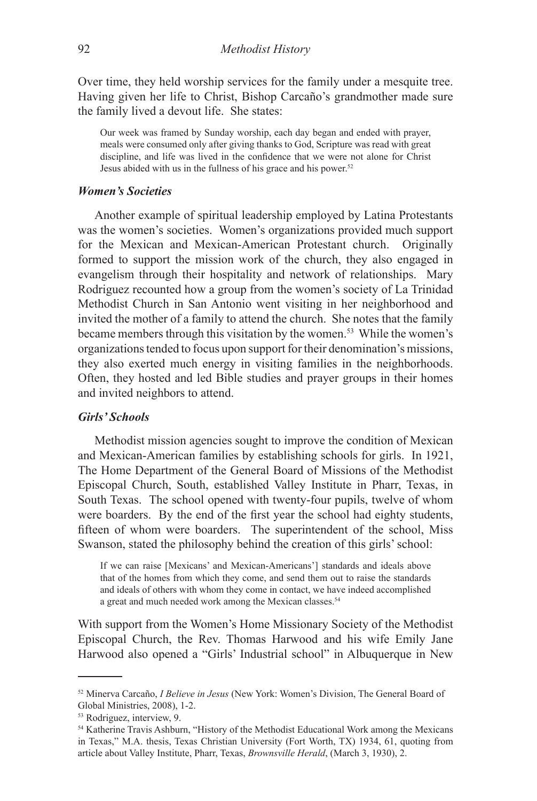Over time, they held worship services for the family under a mesquite tree. Having given her life to Christ, Bishop Carcaño's grandmother made sure the family lived a devout life. She states:

Our week was framed by Sunday worship, each day began and ended with prayer, meals were consumed only after giving thanks to God, Scripture was read with great discipline, and life was lived in the confidence that we were not alone for Christ Jesus abided with us in the fullness of his grace and his power.<sup>52</sup>

### *Women's Societies*

Another example of spiritual leadership employed by Latina Protestants was the women's societies. Women's organizations provided much support for the Mexican and Mexican-American Protestant church. Originally formed to support the mission work of the church, they also engaged in evangelism through their hospitality and network of relationships. Mary Rodriguez recounted how a group from the women's society of La Trinidad Methodist Church in San Antonio went visiting in her neighborhood and invited the mother of a family to attend the church. She notes that the family became members through this visitation by the women.<sup>53</sup> While the women's organizations tended to focus upon support for their denomination's missions, they also exerted much energy in visiting families in the neighborhoods. Often, they hosted and led Bible studies and prayer groups in their homes and invited neighbors to attend.

### *Girls' Schools*

Methodist mission agencies sought to improve the condition of Mexican and Mexican-American families by establishing schools for girls. In 1921, The Home Department of the General Board of Missions of the Methodist Episcopal Church, South, established Valley Institute in Pharr, Texas, in South Texas. The school opened with twenty-four pupils, twelve of whom were boarders. By the end of the first year the school had eighty students, fifteen of whom were boarders. The superintendent of the school, Miss Swanson, stated the philosophy behind the creation of this girls' school:

If we can raise [Mexicans' and Mexican-Americans'] standards and ideals above that of the homes from which they come, and send them out to raise the standards and ideals of others with whom they come in contact, we have indeed accomplished a great and much needed work among the Mexican classes.<sup>54</sup>

With support from the Women's Home Missionary Society of the Methodist Episcopal Church, the Rev. Thomas Harwood and his wife Emily Jane Harwood also opened a "Girls' Industrial school" in Albuquerque in New

<sup>52</sup> Minerva Carcaño, *I Believe in Jesus* (New York: Women's Division, The General Board of Global Ministries, 2008), 1-2.

<sup>53</sup> Rodriguez, interview, 9.

<sup>54</sup> Katherine Travis Ashburn, "History of the Methodist Educational Work among the Mexicans in Texas," M.A. thesis, Texas Christian University (Fort Worth, TX) 1934, 61, quoting from article about Valley Institute, Pharr, Texas, *Brownsville Herald*, (March 3, 1930), 2.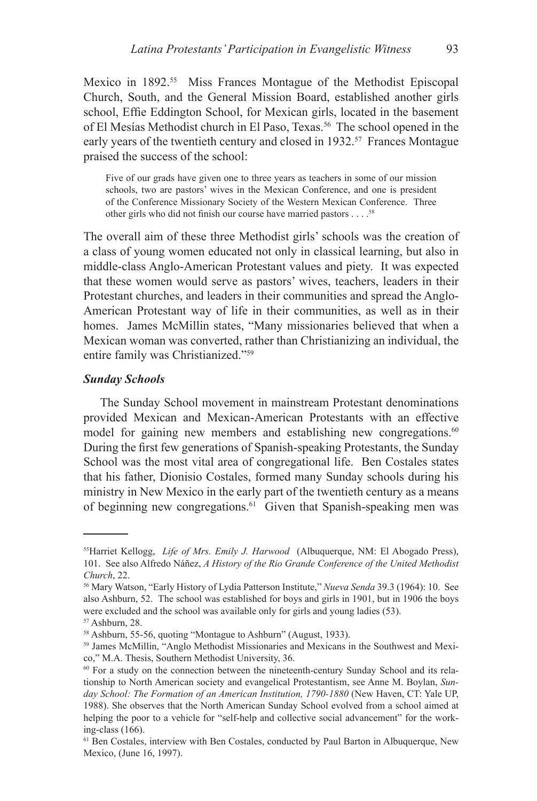Mexico in 1892.<sup>55</sup> Miss Frances Montague of the Methodist Episcopal Church, South, and the General Mission Board, established another girls school, Effie Eddington School, for Mexican girls, located in the basement of El Mesías Methodist church in El Paso, Texas.<sup>56</sup> The school opened in the early years of the twentieth century and closed in 1932.<sup>57</sup> Frances Montague praised the success of the school:

Five of our grads have given one to three years as teachers in some of our mission schools, two are pastors' wives in the Mexican Conference, and one is president of the Conference Missionary Society of the Western Mexican Conference. Three other girls who did not finish our course have married pastors . . . .<sup>58</sup>

The overall aim of these three Methodist girls' schools was the creation of a class of young women educated not only in classical learning, but also in middle-class Anglo-American Protestant values and piety. It was expected that these women would serve as pastors' wives, teachers, leaders in their Protestant churches, and leaders in their communities and spread the Anglo-American Protestant way of life in their communities, as well as in their homes. James McMillin states, "Many missionaries believed that when a Mexican woman was converted, rather than Christianizing an individual, the entire family was Christianized."59

### *Sunday Schools*

The Sunday School movement in mainstream Protestant denominations provided Mexican and Mexican-American Protestants with an effective model for gaining new members and establishing new congregations.<sup>60</sup> During the first few generations of Spanish-speaking Protestants, the Sunday School was the most vital area of congregational life. Ben Costales states that his father, Dionisio Costales, formed many Sunday schools during his ministry in New Mexico in the early part of the twentieth century as a means of beginning new congregations.<sup>61</sup> Given that Spanish-speaking men was

<sup>55</sup>Harriet Kellogg, *Life of Mrs. Emily J. Harwood* (Albuquerque, NM: El Abogado Press), 101. See also Alfredo Náñez, *A History of the Rio Grande Conference of the United Methodist Church*, 22.

<sup>56</sup> Mary Watson, "Early History of Lydia Patterson Institute," *Nueva Senda* 39.3 (1964): 10. See also Ashburn, 52. The school was established for boys and girls in 1901, but in 1906 the boys were excluded and the school was available only for girls and young ladies (53).

<sup>57</sup> Ashburn, 28.

<sup>58</sup> Ashburn, 55-56, quoting "Montague to Ashburn" (August, 1933).

<sup>59</sup> James McMillin, "Anglo Methodist Missionaries and Mexicans in the Southwest and Mexico," M.A. Thesis, Southern Methodist University, 36.

<sup>60</sup> For a study on the connection between the nineteenth-century Sunday School and its relationship to North American society and evangelical Protestantism, see Anne M. Boylan, *Sunday School: The Formation of an American Institution, 1790-1880* (New Haven, CT: Yale UP, 1988). She observes that the North American Sunday School evolved from a school aimed at helping the poor to a vehicle for "self-help and collective social advancement" for the working-class (166).

<sup>61</sup> Ben Costales, interview with Ben Costales, conducted by Paul Barton in Albuquerque, New Mexico, (June 16, 1997).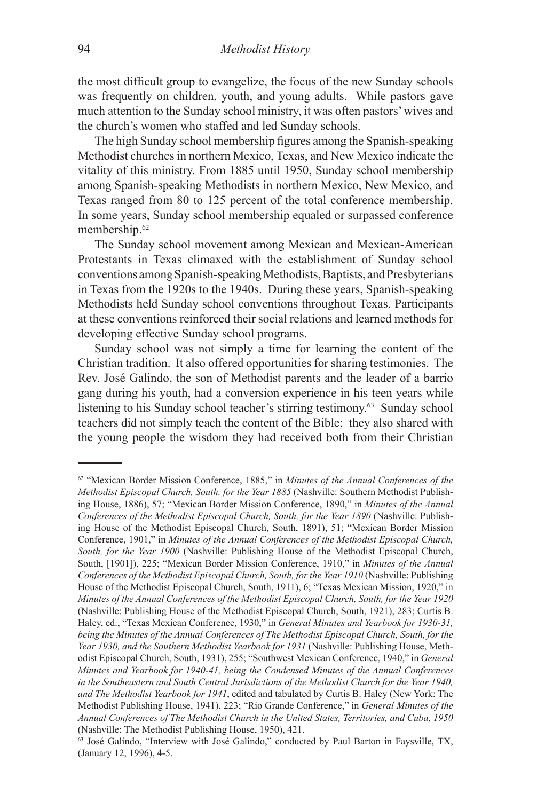the most difficult group to evangelize, the focus of the new Sunday schools was frequently on children, youth, and young adults. While pastors gave much attention to the Sunday school ministry, it was often pastors' wives and the church's women who staffed and led Sunday schools.

The high Sunday school membership figures among the Spanish-speaking Methodist churches in northern Mexico, Texas, and New Mexico indicate the vitality of this ministry. From 1885 until 1950, Sunday school membership among Spanish-speaking Methodists in northern Mexico, New Mexico, and Texas ranged from 80 to 125 percent of the total conference membership. In some years, Sunday school membership equaled or surpassed conference membership.62

The Sunday school movement among Mexican and Mexican-American Protestants in Texas climaxed with the establishment of Sunday school conventions among Spanish-speaking Methodists, Baptists, and Presbyterians in Texas from the 1920s to the 1940s. During these years, Spanish-speaking Methodists held Sunday school conventions throughout Texas. Participants at these conventions reinforced their social relations and learned methods for developing effective Sunday school programs.

Sunday school was not simply a time for learning the content of the Christian tradition. It also offered opportunities for sharing testimonies. The Rev. José Galindo, the son of Methodist parents and the leader of a barrio gang during his youth, had a conversion experience in his teen years while listening to his Sunday school teacher's stirring testimony.63 Sunday school teachers did not simply teach the content of the Bible; they also shared with the young people the wisdom they had received both from their Christian

<sup>62 &</sup>quot;Mexican Border Mission Conference, 1885," in *Minutes of the Annual Conferences of the Methodist Episcopal Church, South, for the Year 1885* (Nashville: Southern Methodist Publishing House, 1886), 57; "Mexican Border Mission Conference, 1890," in *Minutes of the Annual Conferences of the Methodist Episcopal Church, South, for the Year 1890* (Nashville: Publishing House of the Methodist Episcopal Church, South, 1891), 51; "Mexican Border Mission Conference, 1901," in *Minutes of the Annual Conferences of the Methodist Episcopal Church, South, for the Year 1900* (Nashville: Publishing House of the Methodist Episcopal Church, South, [1901]), 225; "Mexican Border Mission Conference, 1910," in *Minutes of the Annual Conferences of the Methodist Episcopal Church, South, for the Year 1910* (Nashville: Publishing House of the Methodist Episcopal Church, South, 1911), 6; "Texas Mexican Mission, 1920," in *Minutes of the Annual Conferences of the Methodist Episcopal Church, South, for the Year 1920* (Nashville: Publishing House of the Methodist Episcopal Church, South, 1921), 283; Curtis B. Haley, ed., "Texas Mexican Conference, 1930," in *General Minutes and Yearbook for 1930-31, being the Minutes of the Annual Conferences of The Methodist Episcopal Church, South, for the Year 1930, and the Southern Methodist Yearbook for 1931* (Nashville: Publishing House, Methodist Episcopal Church, South, 1931), 255; "Southwest Mexican Conference, 1940," in *General Minutes and Yearbook for 1940-41, being the Condensed Minutes of the Annual Conferences in the Southeastern and South Central Jurisdictions of the Methodist Church for the Year 1940, and The Methodist Yearbook for 1941*, edited and tabulated by Curtis B. Haley (New York: The Methodist Publishing House, 1941), 223; "Rio Grande Conference," in *General Minutes of the Annual Conferences of The Methodist Church in the United States, Territories, and Cuba, 1950* (Nashville: The Methodist Publishing House, 1950), 421.

<sup>63</sup> José Galindo, "Interview with José Galindo," conducted by Paul Barton in Faysville, TX, (January 12, 1996), 4-5.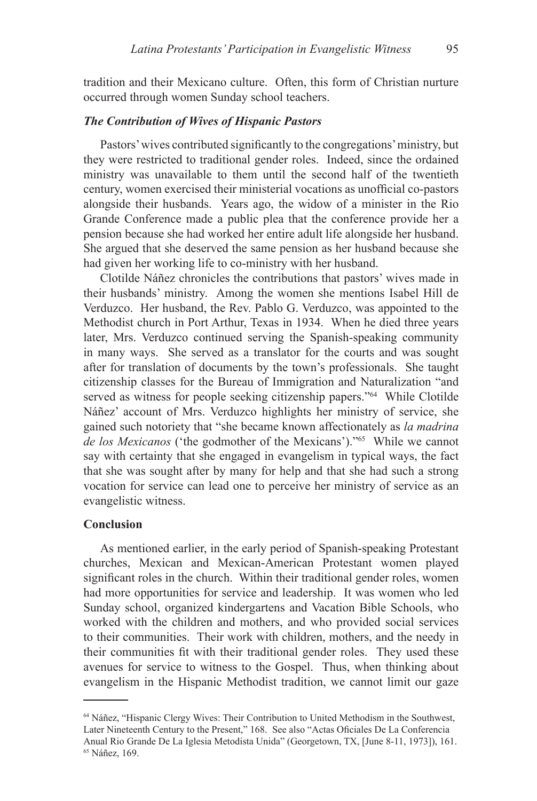tradition and their Mexicano culture. Often, this form of Christian nurture occurred through women Sunday school teachers.

### *The Contribution of Wives of Hispanic Pastors*

Pastors' wives contributed significantly to the congregations' ministry, but they were restricted to traditional gender roles. Indeed, since the ordained ministry was unavailable to them until the second half of the twentieth century, women exercised their ministerial vocations as unofficial co-pastors alongside their husbands. Years ago, the widow of a minister in the Rio Grande Conference made a public plea that the conference provide her a pension because she had worked her entire adult life alongside her husband. She argued that she deserved the same pension as her husband because she had given her working life to co-ministry with her husband.

Clotilde Náñez chronicles the contributions that pastors' wives made in their husbands' ministry. Among the women she mentions Isabel Hill de Verduzco. Her husband, the Rev. Pablo G. Verduzco, was appointed to the Methodist church in Port Arthur, Texas in 1934. When he died three years later, Mrs. Verduzco continued serving the Spanish-speaking community in many ways. She served as a translator for the courts and was sought after for translation of documents by the town's professionals. She taught citizenship classes for the Bureau of Immigration and Naturalization "and served as witness for people seeking citizenship papers."<sup>64</sup> While Clotilde Náñez' account of Mrs. Verduzco highlights her ministry of service, she gained such notoriety that "she became known affectionately as *la madrina de los Mexicanos* ('the godmother of the Mexicans')."65 While we cannot say with certainty that she engaged in evangelism in typical ways, the fact that she was sought after by many for help and that she had such a strong vocation for service can lead one to perceive her ministry of service as an evangelistic witness.

### **Conclusion**

As mentioned earlier, in the early period of Spanish-speaking Protestant churches, Mexican and Mexican-American Protestant women played significant roles in the church. Within their traditional gender roles, women had more opportunities for service and leadership. It was women who led Sunday school, organized kindergartens and Vacation Bible Schools, who worked with the children and mothers, and who provided social services to their communities. Their work with children, mothers, and the needy in their communities fit with their traditional gender roles. They used these avenues for service to witness to the Gospel. Thus, when thinking about evangelism in the Hispanic Methodist tradition, we cannot limit our gaze

<sup>64</sup> Náñez, "Hispanic Clergy Wives: Their Contribution to United Methodism in the Southwest, Later Nineteenth Century to the Present," 168. See also "Actas Oficiales De La Conferencia Anual Rio Grande De La Iglesia Metodista Unida" (Georgetown, TX, [June 8-11, 1973]), 161. 65 Náñez, 169.